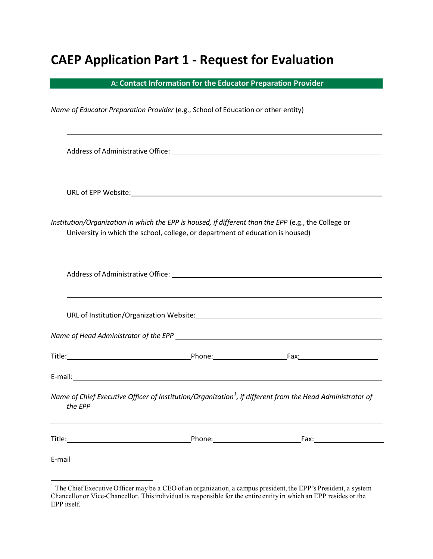# **CAEP Application Part 1 - Request for Evaluation**

**A: Contact Information for the Educator Preparation Provider**

*Name of Educator Preparation Provider* (e.g., School of Education or other entity)

Address of Administrative Office: URL of EPP Website: *Institution/Organization in which the EPP is housed, if different than the EPP* (e.g., the College or University in which the school, college, or department of education is housed) Address of Administrative Office: URL of Institution/Organization Website: *Name of Head Administrator of the EPP*  Title: Phone: Fax: E-mail: *Name of Chief Executive Officer of Institution/Organization<sup>1</sup> , if different from the Head Administrator of the EPP* Title: Title: Phone: Phone: Fax: E-mail

<sup>&</sup>lt;sup>1</sup> The Chief Executive Officer may be a CEO of an organization, a campus president, the EPP's President, a system Chancellor or Vice-Chancellor. Thisindividual is responsible for the entire entity in which an EPP resides or the EPP itself.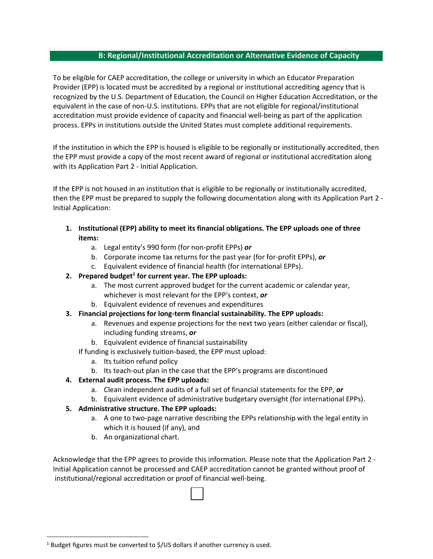### **B: Regional/Institutional Accreditation or Alternative Evidence of Capacity**

To be eligible for CAEP accreditation, the college or university in which an Educator Preparation Provider (EPP) is located must be accredited by a regional or institutional accrediting agency that is recognized by the U.S. Department of Education, the Council on Higher Education Accreditation, or the equivalent in the case of non-U.S. institutions. EPPs that are not eligible for regional/institutional accreditation must provide evidence of capacity and financial well-being as part of the application process. EPPs in institutions outside the United States must complete additional requirements.

If the institution in which the EPP is housed is eligible to be regionally or institutionally accredited, then the EPP must provide a copy of the most recent award of regional or institutional accreditation along with its Application Part 2 - Initial Application.

If the EPP is not housed in an institution that is eligible to be regionally or institutionally accredited, then the EPP must be prepared to supply the following documentation along with its Application Part 2 - Initial Application:

- **1. Institutional (EPP) ability to meet its financial obligations. The EPP uploads one of three items:**
	- a. Legal entity's 990 form (for non-profit EPPs) *or*
	- b. Corporate income tax returns for the past year (for for-profit EPPs), *or*
	- c. Equivalent evidence of financial health (for international EPPs).

### **2. Prepared budget<sup>1</sup> for current year. The EPP uploads:**

- a. The most current approved budget for the current academic or calendar year, whichever is most relevant for the EPP's context, *or*
- b. Equivalent evidence of revenues and expenditures
- **3. Financial projections for long-term financial sustainability. The EPP uploads:**
	- a. Revenues and expense projections for the next two years (either calendar or fiscal), including funding streams, *or*
	- b. Equivalent evidence of financial sustainability

If funding is exclusively tuition-based, the EPP must upload:

- a. Its tuition refund policy
- b. Its teach-out plan in the case that the EPP's programs are discontinued

## **4. External audit process. The EPP uploads:**

- a. Clean independent audits of a full set of financial statements for the EPP, *or*
- b. Equivalent evidence of administrative budgetary oversight (for international EPPs).

## **5. Administrative structure. The EPP uploads:**

- a. A one to two-page narrative describing the EPPs relationship with the legal entity in which it is housed (if any), and
- b. An organizational chart.

 $\overline{\phantom{a}}$ 

Acknowledge that the EPP agrees to provide this information. Please note that the Application Part 2 - Initial Application cannot be processed and CAEP accreditation cannot be granted without proof of institutional/regional accreditation or proof of financial well-being.

 $1$  Budget figures must be converted to \$/US dollars if another currency is used.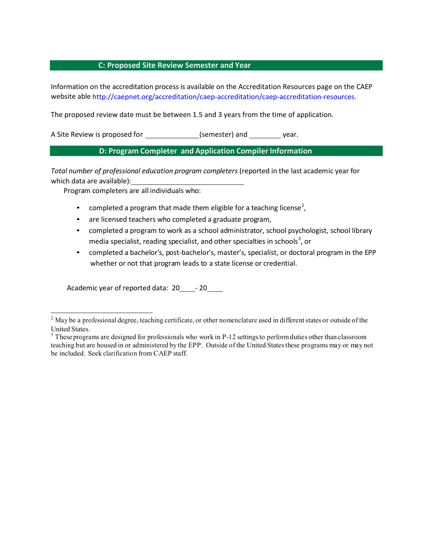### **C: Proposed Site Review Semester and Year**

Information on the accreditation process is available on the Accreditation Resources page on the CAEP website able <http://caepnet.org/accreditation/caep-accreditation/caep-accreditation-resources>.

The proposed review date must be between 1.5 and 3 years from the time of application.

A Site Review is proposed for \_\_\_\_\_\_\_\_\_\_\_\_\_\_\_(semester) and \_\_\_\_\_\_\_\_\_ year.

## **D: Program Completer and Application Compiler Information**

*Total number of professional education program completers* (reported in the last academic year for which data are available):

Program completers are all individuals who:

- completed a program that made them eligible for a teaching license<sup>2</sup>,
- are licensed teachers who completed a graduate program,
- completed a program to work as a school administrator, school psychologist, school library media specialist, reading specialist, and other specialties in schools<sup>3</sup>, or
- completed a bachelor's, post-bachelor's, master's, specialist, or doctoral program in the EPP whether or not that program leads to a state license or credential.

Academic year of reported data: 20 - 20

<sup>&</sup>lt;sup>2</sup> May be a professional degree, teaching certificate, or other nomenclature used in different states or outside of the United States.<br><sup>3</sup> These programs are designed for professionals who work in P-12 settings to perform duties other than classroom

teaching but are housed in or administered by the EPP. Outside of the United Statesthese programs may or may not be included. Seek clarification from CAEP staff.